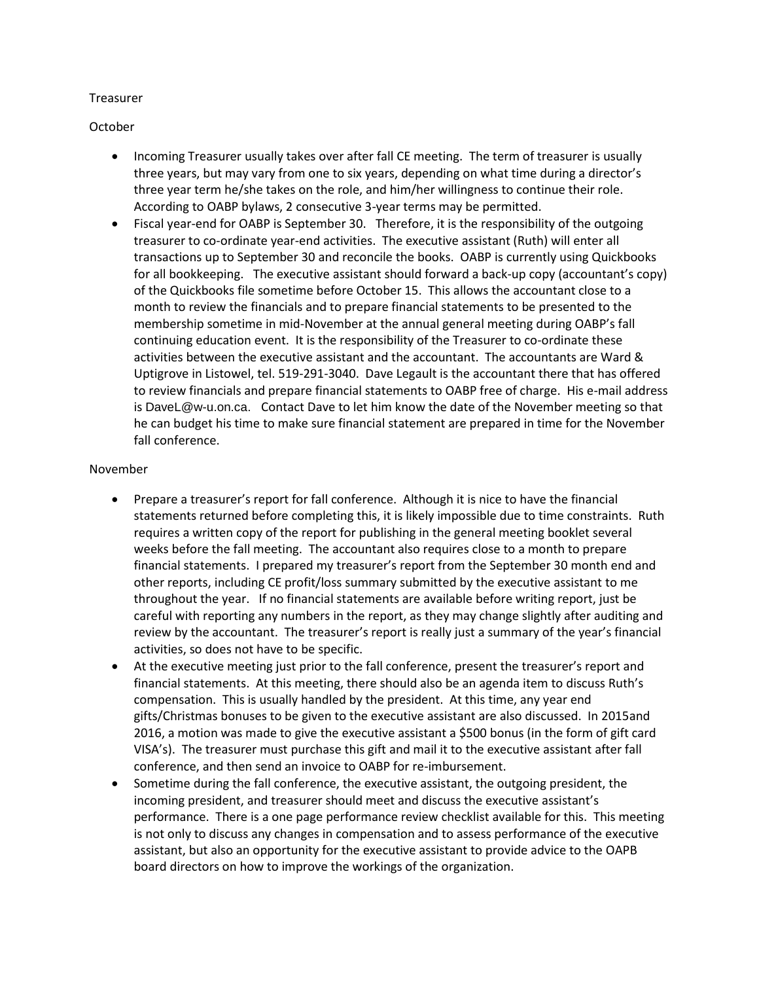#### Treasurer

October

- Incoming Treasurer usually takes over after fall CE meeting. The term of treasurer is usually three years, but may vary from one to six years, depending on what time during a director's three year term he/she takes on the role, and him/her willingness to continue their role. According to OABP bylaws, 2 consecutive 3-year terms may be permitted.
- Fiscal year-end for OABP is September 30. Therefore, it is the responsibility of the outgoing treasurer to co-ordinate year-end activities. The executive assistant (Ruth) will enter all transactions up to September 30 and reconcile the books. OABP is currently using Quickbooks for all bookkeeping. The executive assistant should forward a back-up copy (accountant's copy) of the Quickbooks file sometime before October 15. This allows the accountant close to a month to review the financials and to prepare financial statements to be presented to the membership sometime in mid-November at the annual general meeting during OABP's fall continuing education event. It is the responsibility of the Treasurer to co-ordinate these activities between the executive assistant and the accountant. The accountants are Ward & Uptigrove in Listowel, tel. 519-291-3040. Dave Legault is the accountant there that has offered to review financials and prepare financial statements to OABP free of charge. His e-mail address is [DaveL@w-u.on.ca.](https://mg.mail.yahoo.com/compose?to=DaveL@w-u.on.ca) Contact Dave to let him know the date of the November meeting so that he can budget his time to make sure financial statement are prepared in time for the November fall conference.

#### November

- Prepare a treasurer's report for fall conference. Although it is nice to have the financial statements returned before completing this, it is likely impossible due to time constraints. Ruth requires a written copy of the report for publishing in the general meeting booklet several weeks before the fall meeting. The accountant also requires close to a month to prepare financial statements. I prepared my treasurer's report from the September 30 month end and other reports, including CE profit/loss summary submitted by the executive assistant to me throughout the year. If no financial statements are available before writing report, just be careful with reporting any numbers in the report, as they may change slightly after auditing and review by the accountant. The treasurer's report is really just a summary of the year's financial activities, so does not have to be specific.
- At the executive meeting just prior to the fall conference, present the treasurer's report and financial statements. At this meeting, there should also be an agenda item to discuss Ruth's compensation. This is usually handled by the president. At this time, any year end gifts/Christmas bonuses to be given to the executive assistant are also discussed. In 2015and 2016, a motion was made to give the executive assistant a \$500 bonus (in the form of gift card VISA's). The treasurer must purchase this gift and mail it to the executive assistant after fall conference, and then send an invoice to OABP for re-imbursement.
- Sometime during the fall conference, the executive assistant, the outgoing president, the incoming president, and treasurer should meet and discuss the executive assistant's performance. There is a one page performance review checklist available for this. This meeting is not only to discuss any changes in compensation and to assess performance of the executive assistant, but also an opportunity for the executive assistant to provide advice to the OAPB board directors on how to improve the workings of the organization.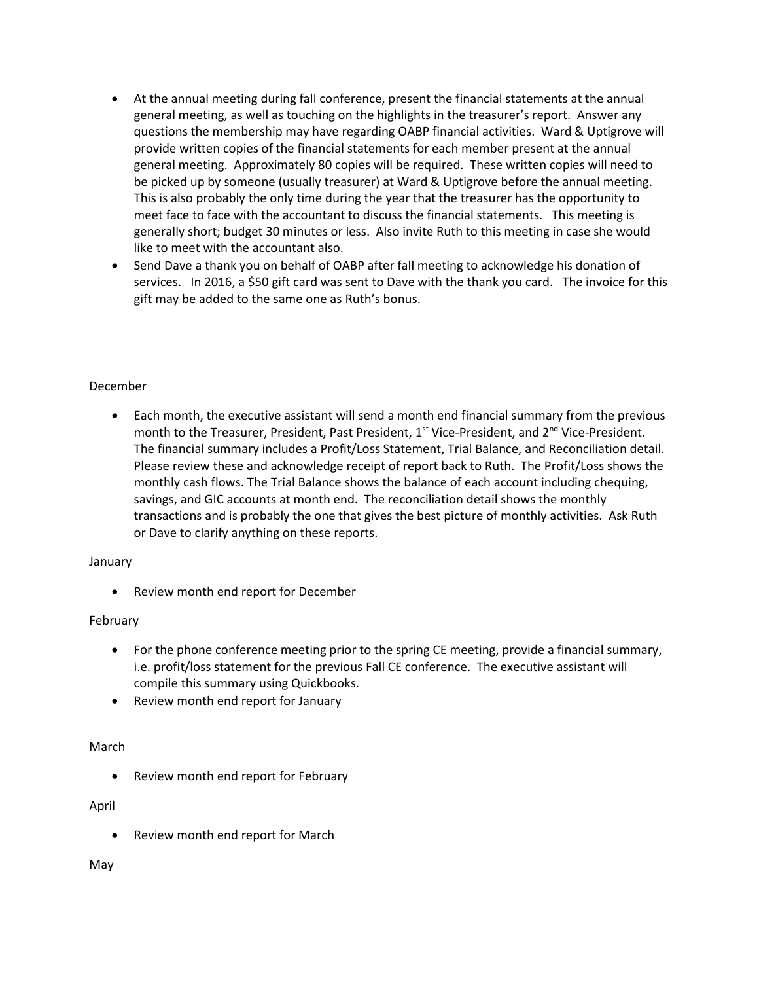- At the annual meeting during fall conference, present the financial statements at the annual general meeting, as well as touching on the highlights in the treasurer's report. Answer any questions the membership may have regarding OABP financial activities. Ward & Uptigrove will provide written copies of the financial statements for each member present at the annual general meeting. Approximately 80 copies will be required. These written copies will need to be picked up by someone (usually treasurer) at Ward & Uptigrove before the annual meeting. This is also probably the only time during the year that the treasurer has the opportunity to meet face to face with the accountant to discuss the financial statements. This meeting is generally short; budget 30 minutes or less. Also invite Ruth to this meeting in case she would like to meet with the accountant also.
- Send Dave a thank you on behalf of OABP after fall meeting to acknowledge his donation of services. In 2016, a \$50 gift card was sent to Dave with the thank you card. The invoice for this gift may be added to the same one as Ruth's bonus.

### December

 Each month, the executive assistant will send a month end financial summary from the previous month to the Treasurer, President, Past President, 1<sup>st</sup> Vice-President, and 2<sup>nd</sup> Vice-President. The financial summary includes a Profit/Loss Statement, Trial Balance, and Reconciliation detail. Please review these and acknowledge receipt of report back to Ruth. The Profit/Loss shows the monthly cash flows. The Trial Balance shows the balance of each account including chequing, savings, and GIC accounts at month end. The reconciliation detail shows the monthly transactions and is probably the one that gives the best picture of monthly activities. Ask Ruth or Dave to clarify anything on these reports.

### January

Review month end report for December

# February

- For the phone conference meeting prior to the spring CE meeting, provide a financial summary, i.e. profit/loss statement for the previous Fall CE conference. The executive assistant will compile this summary using Quickbooks.
- Review month end report for January

# March

Review month end report for February

### April

Review month end report for March

### May